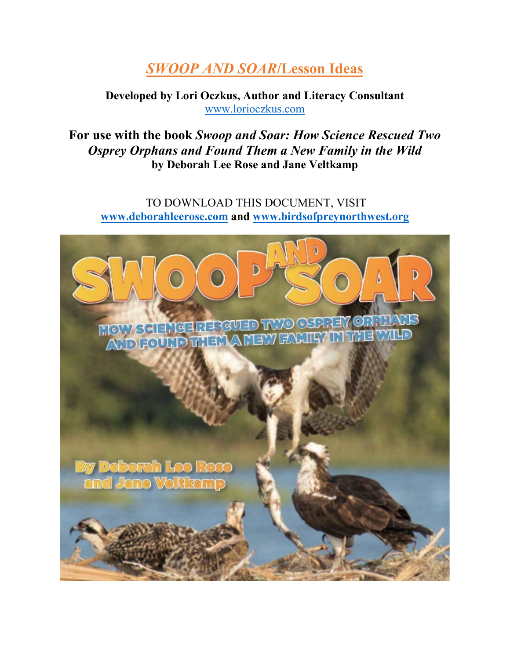# *SWOOP AND SOAR***/Lesson Ideas**

# **Developed by Lori Oczkus, Author and Literacy Consultant** [www.lorioczkus.com](http://www.lorioczkus.com/)

**For use with the book** *Swoop and Soar: How Science Rescued Two Osprey Orphans and Found Them a New Family in the Wild* **by Deborah Lee Rose and Jane Veltkamp** 

TO DOWNLOAD THIS DOCUMENT, VISIT **[www.deborahleerose.com](http://www.deborahleerose.com/) and [www.birdsofpreynorthwest.org](http://www.birdsofpreynorthwest.org/)**

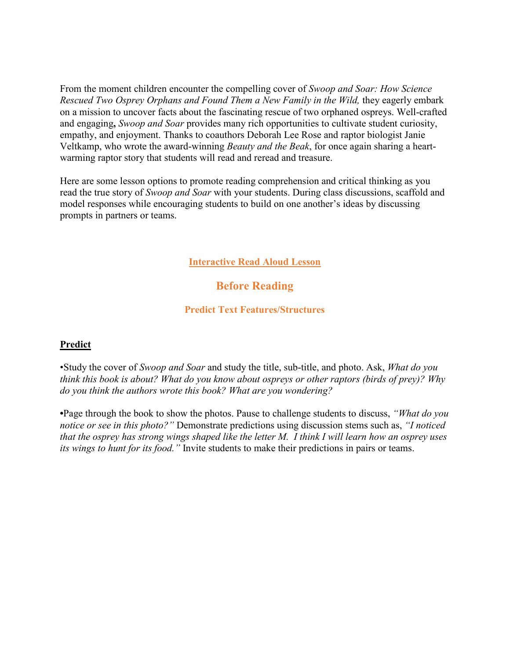From the moment children encounter the compelling cover of *Swoop and Soar: How Science Rescued Two Osprey Orphans and Found Them a New Family in the Wild,* they eagerly embark on a mission to uncover facts about the fascinating rescue of two orphaned ospreys. Well-crafted and engaging**,** *Swoop and Soar* provides many rich opportunities to cultivate student curiosity, empathy, and enjoyment. Thanks to coauthors Deborah Lee Rose and raptor biologist Janie Veltkamp, who wrote the award-winning *Beauty and the Beak*, for once again sharing a heartwarming raptor story that students will read and reread and treasure.

Here are some lesson options to promote reading comprehension and critical thinking as you read the true story of *Swoop and Soar* with your students. During class discussions, scaffold and model responses while encouraging students to build on one another's ideas by discussing prompts in partners or teams.

#### **Interactive Read Aloud Lesson**

# **Before Reading**

#### **Predict Text Features/Structures**

#### **Predict**

•Study the cover of *Swoop and Soar* and study the title, sub-title, and photo. Ask, *What do you think this book is about? What do you know about ospreys or other raptors (birds of prey)? Why do you think the authors wrote this book? What are you wondering?* 

**•**Page through the book to show the photos. Pause to challenge students to discuss, *"What do you notice or see in this photo?"* Demonstrate predictions using discussion stems such as, *"I noticed that the osprey has strong wings shaped like the letter M. I think I will learn how an osprey uses its wings to hunt for its food."* Invite students to make their predictions in pairs or teams.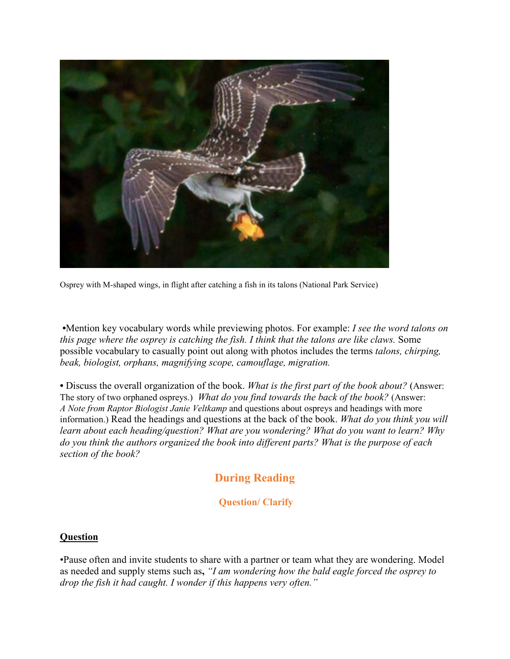

Osprey with M-shaped wings, in flight after catching a fish in its talons (National Park Service)

 **•**Mention key vocabulary words while previewing photos. For example: *I see the word talons on this page where the osprey is catching the fish. I think that the talons are like claws.* Some possible vocabulary to casually point out along with photos includes the terms *talons, chirping, beak, biologist, orphans, magnifying scope, camouflage, migration.* 

**•** Discuss the overall organization of the book. *What is the first part of the book about?* (Answer: The story of two orphaned ospreys.) *What do you find towards the back of the book?* (Answer: *A Note from Raptor Biologist Janie Veltkamp* and questions about ospreys and headings with more information.) Read the headings and questions at the back of the book. *What do you think you will learn about each heading/question? What are you wondering? What do you want to learn? Why do you think the authors organized the book into different parts? What is the purpose of each section of the book?* 

# **During Reading**

### **Question/ Clarify**

#### **Question**

•Pause often and invite students to share with a partner or team what they are wondering. Model as needed and supply stems such as**,** *"I am wondering how the bald eagle forced the osprey to drop the fish it had caught. I wonder if this happens very often."*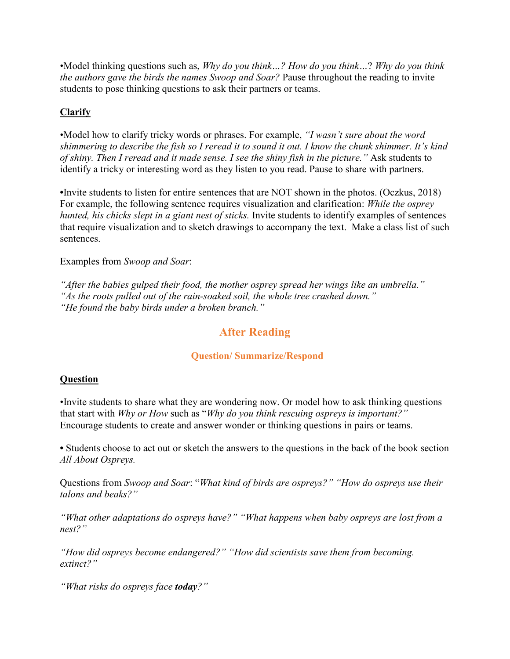•Model thinking questions such as, *Why do you think…? How do you think…*? *Why do you think the authors gave the birds the names Swoop and Soar?* Pause throughout the reading to invite students to pose thinking questions to ask their partners or teams.

# **Clarify**

•Model how to clarify tricky words or phrases. For example, *"I wasn't sure about the word shimmering to describe the fish so I reread it to sound it out. I know the chunk shimmer. It's kind of shiny. Then I reread and it made sense. I see the shiny fish in the picture."* Ask students to identify a tricky or interesting word as they listen to you read. Pause to share with partners.

**•**Invite students to listen for entire sentences that are NOT shown in the photos. (Oczkus, 2018) For example, the following sentence requires visualization and clarification: *While the osprey hunted, his chicks slept in a giant nest of sticks.* Invite students to identify examples of sentences that require visualization and to sketch drawings to accompany the text. Make a class list of such sentences.

Examples from *Swoop and Soar*:

*"After the babies gulped their food, the mother osprey spread her wings like an umbrella." "As the roots pulled out of the rain-soaked soil, the whole tree crashed down." "He found the baby birds under a broken branch."* 

# **After Reading**

### **Question/ Summarize/Respond**

#### **Question**

•Invite students to share what they are wondering now. Or model how to ask thinking questions that start with *Why or How* such as "*Why do you think rescuing ospreys is important?"* Encourage students to create and answer wonder or thinking questions in pairs or teams.

**•** Students choose to act out or sketch the answers to the questions in the back of the book section *All About Ospreys.* 

Questions from *Swoop and Soar*: "*What kind of birds are ospreys?" "How do ospreys use their talons and beaks?"*

*"What other adaptations do ospreys have?" "What happens when baby ospreys are lost from a nest?"* 

*"How did ospreys become endangered?" "How did scientists save them from becoming. extinct?"* 

*"What risks do ospreys face today?"*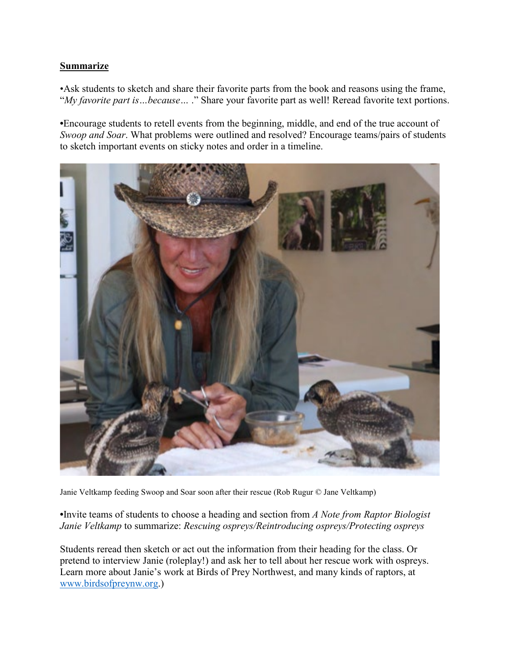# **Summarize**

•Ask students to sketch and share their favorite parts from the book and reasons using the frame, "*My favorite part is…because…* ." Share your favorite part as well! Reread favorite text portions.

**•**Encourage students to retell events from the beginning, middle, and end of the true account of *Swoop and Soar*. What problems were outlined and resolved? Encourage teams/pairs of students to sketch important events on sticky notes and order in a timeline.



Janie Veltkamp feeding Swoop and Soar soon after their rescue (Rob Rugur © Jane Veltkamp)

**•**Invite teams of students to choose a heading and section from *A Note from Raptor Biologist Janie Veltkamp* to summarize: *Rescuing ospreys/Reintroducing ospreys/Protecting ospreys*

Students reread then sketch or act out the information from their heading for the class. Or pretend to interview Janie (roleplay!) and ask her to tell about her rescue work with ospreys. Learn more about Janie's work at Birds of Prey Northwest, and many kinds of raptors, at [www.birdsofpreynw.org.](http://www.birdsofpreynw.org/))